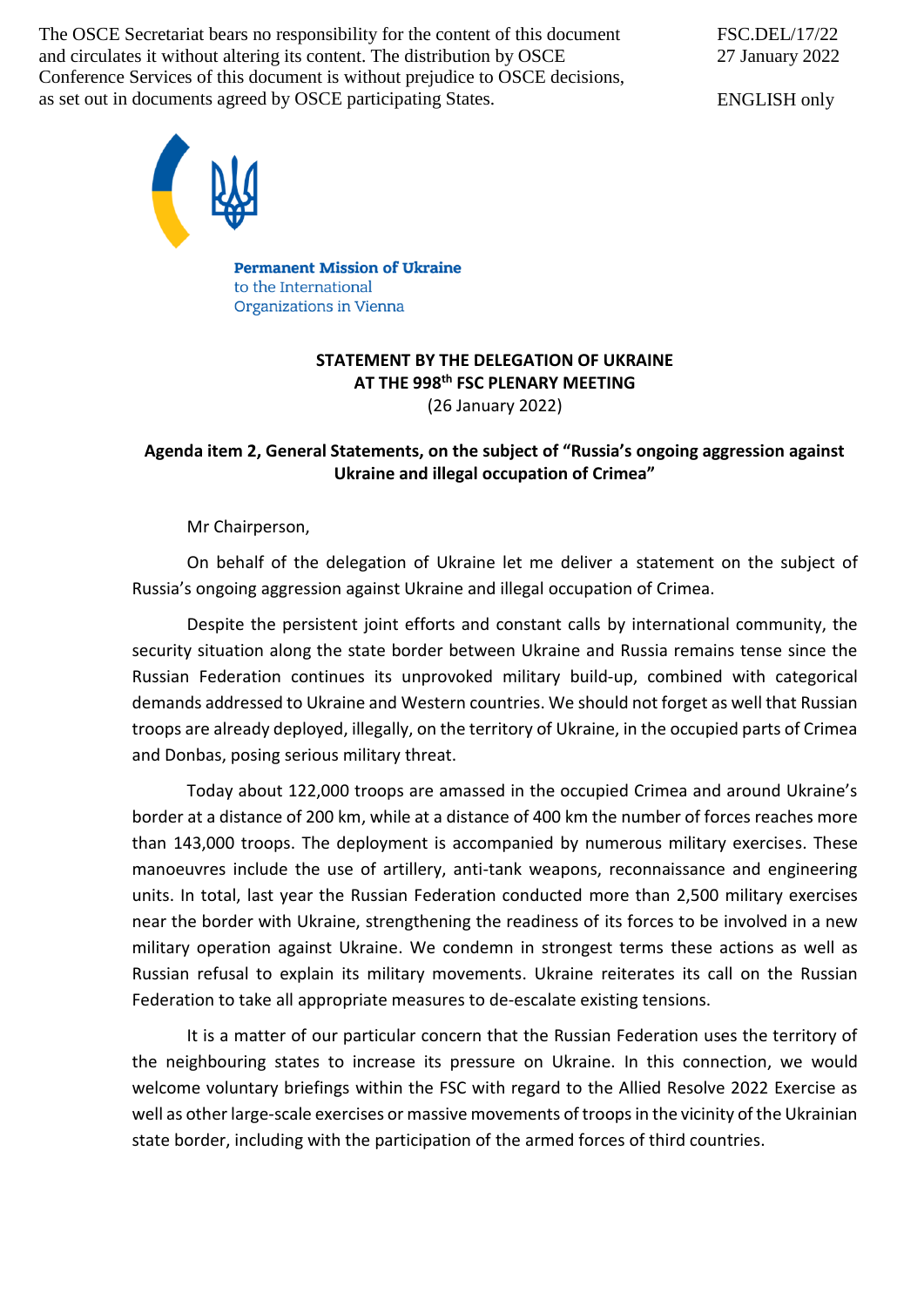The OSCE Secretariat bears no responsibility for the content of this document and circulates it without altering its content. The distribution by OSCE Conference Services of this document is without prejudice to OSCE decisions, as set out in documents agreed by OSCE participating States.

FSC.DEL/17/22 27 January 2022

ENGLISH only



**Permanent Mission of Ukraine** to the International Organizations in Vienna

## **STATEMENT BY THE DELEGATION OF UKRAINE AT THE 998 th FSC PLENARY MEETING** (26 January 2022)

## **Agenda item 2, General Statements, on the subject of "Russia's ongoing aggression against Ukraine and illegal occupation of Crimea"**

Mr Chairperson,

On behalf of the delegation of Ukraine let me deliver a statement on the subject of Russia's ongoing aggression against Ukraine and illegal occupation of Crimea.

Despite the persistent joint efforts and constant calls by international community, the security situation along the state border between Ukraine and Russia remains tense since the Russian Federation continues its unprovoked military build-up, combined with categorical demands addressed to Ukraine and Western countries. We should not forget as well that Russian troops are already deployed, illegally, on the territory of Ukraine, in the occupied parts of Crimea and Donbas, posing serious military threat.

Today about 122,000 troops are amassed in the occupied Crimea and around Ukraine's border at a distance of 200 km, while at a distance of 400 km the number of forces reaches more than 143,000 troops. The deployment is accompanied by numerous military exercises. These manoeuvres include the use of artillery, anti-tank weapons, reconnaissance and engineering units. In total, last year the Russian Federation conducted more than 2,500 military exercises near the border with Ukraine, strengthening the readiness of its forces to be involved in a new military operation against Ukraine. We condemn in strongest terms these actions as well as Russian refusal to explain its military movements. Ukraine reiterates its call on the Russian Federation to take all appropriate measures to de-escalate existing tensions.

It is a matter of our particular concern that the Russian Federation uses the territory of the neighbouring states to increase its pressure on Ukraine. In this connection, we would welcome voluntary briefings within the FSC with regard to the Allied Resolve 2022 Exercise as well as other large-scale exercises or massive movements of troops in the vicinity of the Ukrainian state border, including with the participation of the armed forces of third countries.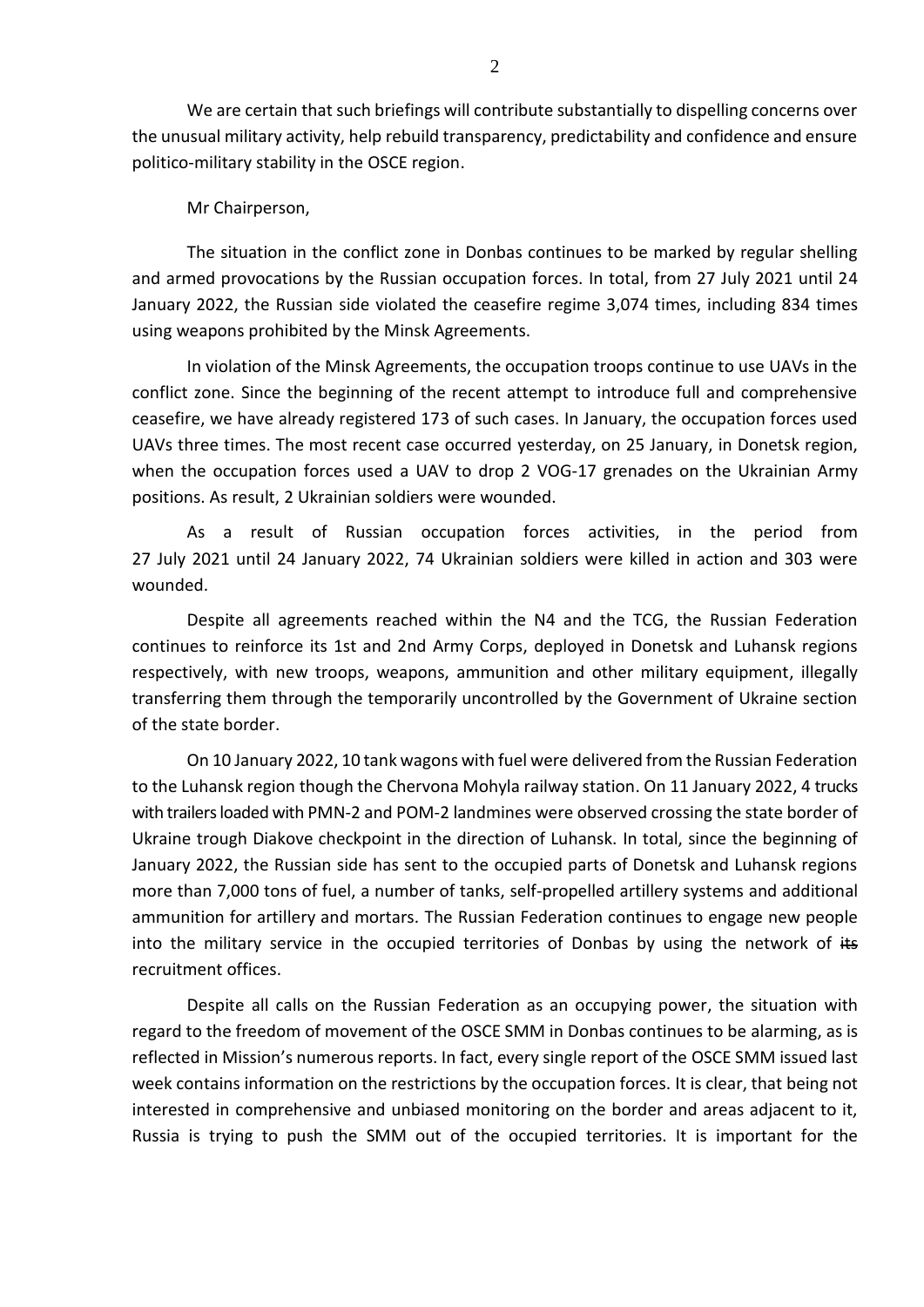We are certain that such briefings will contribute substantially to dispelling concerns over the unusual military activity, help rebuild transparency, predictability and confidence and ensure politico-military stability in the OSCE region.

Mr Chairperson,

The situation in the conflict zone in Donbas continues to be marked by regular shelling and armed provocations by the Russian occupation forces. In total, from 27 July 2021 until 24 January 2022, the Russian side violated the ceasefire regime 3,074 times, including 834 times using weapons prohibited by the Minsk Agreements.

In violation of the Minsk Agreements, the occupation troops continue to use UAVs in the conflict zone. Since the beginning of the recent attempt to introduce full and comprehensive ceasefire, we have already registered 173 of such cases. In January, the occupation forces used UAVs three times. The most recent case occurred yesterday, on 25 January, in Donetsk region, when the occupation forces used a UAV to drop 2 VOG-17 grenades on the Ukrainian Army positions. As result, 2 Ukrainian soldiers were wounded.

As a result of Russian occupation forces activities, in the period from 27 July 2021 until 24 January 2022, 74 Ukrainian soldiers were killed in action and 303 were wounded.

Despite all agreements reached within the N4 and the TCG, the Russian Federation continues to reinforce its 1st and 2nd Army Corps, deployed in Donetsk and Luhansk regions respectively, with new troops, weapons, ammunition and other military equipment, illegally transferring them through the temporarily uncontrolled by the Government of Ukraine section of the state border.

On 10 January 2022, 10 tank wagons with fuel were delivered from the Russian Federation to the Luhansk region though the Chervona Mohyla railway station. On 11 January 2022, 4 trucks with trailers loaded with PMN-2 and POM-2 landmines were observed crossing the state border of Ukraine trough Diakove checkpoint in the direction of Luhansk. In total, since the beginning of January 2022, the Russian side has sent to the occupied parts of Donetsk and Luhansk regions more than 7,000 tons of fuel, a number of tanks, self-propelled artillery systems and additional ammunition for artillery and mortars. The Russian Federation continues to engage new people into the military service in the occupied territories of Donbas by using the network of  $#s$ recruitment offices.

Despite all calls on the Russian Federation as an occupying power, the situation with regard to the freedom of movement of the OSCE SMM in Donbas continues to be alarming, as is reflected in Mission's numerous reports. In fact, every single report of the OSCE SMM issued last week contains information on the restrictions by the occupation forces. It is clear, that being not interested in comprehensive and unbiased monitoring on the border and areas adjacent to it, Russia is trying to push the SMM out of the occupied territories. It is important for the